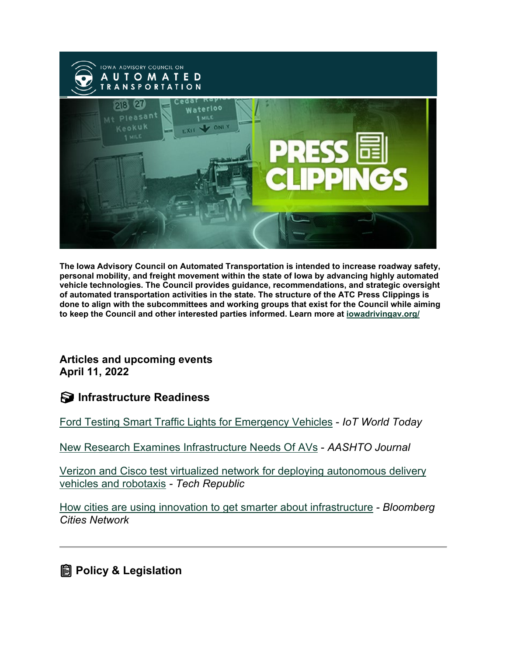

**The Iowa Advisory Council on Automated Transportation is intended to increase roadway safety, personal mobility, and freight movement within the state of Iowa by advancing highly automated vehicle technologies. The Council provides guidance, recommendations, and strategic oversight of automated transportation activities in the state. The structure of the ATC Press Clippings is done to align with the subcommittees and working groups that exist for the Council while aiming to keep the Council and other interested parties informed. Learn more at [iowadrivingav.org/](https://iowadrivingav.org/?utm_medium=email&utm_source=govdelivery)**

**Articles and upcoming events April 11, 2022** 

**Infrastructure Readiness**

[Ford Testing Smart Traffic Lights for Emergency Vehicles](https://www.iotworldtoday.com/2022/03/30/ford-testing-smart-traffic-lights-for-emergency-vehicles/?utm_medium=email&utm_source=govdelivery) - *IoT World Today*

[New Research Examines Infrastructure Needs Of AVs](https://aashtojournal.org/2022/04/01/new-research-examines-future-infrastructure-needs-of-avs/?utm_medium=email&utm_source=govdelivery) - *AASHTO Journal*

[Verizon and Cisco test virtualized network for deploying autonomous delivery](https://www.techrepublic.com/article/verizon-and-cisco-test-virtualized-network-for-deploying-autonomous-delivery-vehicles-and-robotaxis/?utm_medium=email&utm_source=govdelivery)  [vehicles and robotaxis](https://www.techrepublic.com/article/verizon-and-cisco-test-virtualized-network-for-deploying-autonomous-delivery-vehicles-and-robotaxis/?utm_medium=email&utm_source=govdelivery) *- Tech Republic*

[How cities are using innovation to get smarter about infrastructure](https://bloombergcities.jhu.edu/news/how-cities-are-using-innovation-get-smarter-about-infrastructure?utm_medium=email&utm_source=govdelivery) *- Bloomberg Cities Network*

**<u></u></u> Policy & Legislation**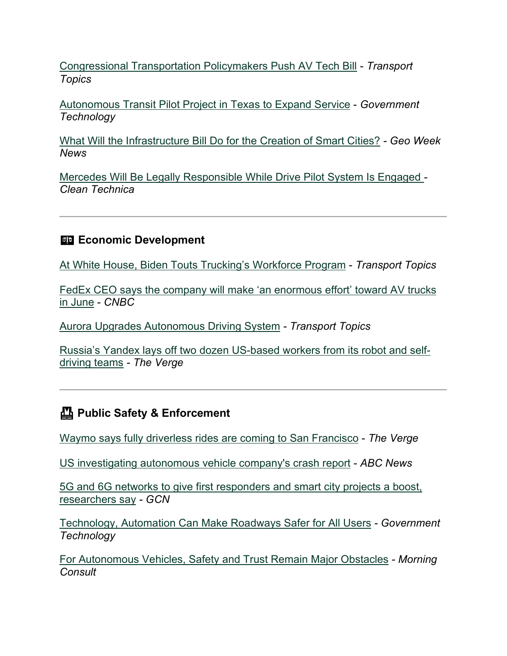[Congressional Transportation Policymakers Push AV Tech Bill](https://www.ttnews.com/articles/congressional-transportation-policymakers-push-av-tech-bill?utm_medium=email&utm_source=govdelivery) - *Transport Topics*

[Autonomous Transit Pilot Project in Texas to Expand Service](https://www.govtech.com/fs/autonomous-transit-pilot-project-in-texas-to-expand-service?utm_medium=email&utm_source=govdelivery) - *Government Technology*

[What Will the Infrastructure Bill Do for the Creation of Smart Cities?](https://www.geoweeknews.com/news/what-will-the-infrastructure-bill-do-for-the-creation-of-smart-cities?utm_medium=email&utm_source=govdelivery) *- Geo Week News*

[Mercedes Will Be Legally Responsible While Drive Pilot System Is Engaged](https://cleantechnica.com/2022/03/23/mercedes-will-be-legally-responsible-while-drive-pilot-system-is-engaged/?utm_medium=email&utm_source=govdelivery) *- Clean Technica*

### **Example 2** Economic Development

[At White House, Biden Touts Trucking's Workforce Program](https://www.ttnews.com/articles/white-house-biden-touts-truckings-workforce-program?utm_medium=email&utm_source=govdelivery) - *Transport Topics*

[FedEx CEO says the company will make 'an enormous effort' toward AV trucks](https://www.cnbc.com/2022/03/29/fedex-ceo-says-the-company-will-make-an-enormous-effort-towards-av-trucks-in-june.html?utm_medium=email&utm_source=govdelivery)  [in June](https://www.cnbc.com/2022/03/29/fedex-ceo-says-the-company-will-make-an-enormous-effort-towards-av-trucks-in-june.html?utm_medium=email&utm_source=govdelivery) - *CNBC*

[Aurora Upgrades Autonomous Driving System](https://www.ttnews.com/articles/aurora-upgrades-autonomous-driving-system?utm_medium=email&utm_source=govdelivery) *- Transport Topics*

[Russia's Yandex lays off two dozen US-based workers from its robot and self](https://www.theverge.com/2022/3/29/23000184/yandex-layoff-michigan-autonomous-vehicle-robot-delivery?utm_medium=email&utm_source=govdelivery)[driving teams](https://www.theverge.com/2022/3/29/23000184/yandex-layoff-michigan-autonomous-vehicle-robot-delivery?utm_medium=email&utm_source=govdelivery) *- The Verge*

## **Public Safety & Enforcement**

[Waymo says fully driverless rides are coming to San Francisco](https://www.theverge.com/2022/3/30/23002082/waymo-driverless-san-francisco-downtown-phoenix?utm_medium=email&utm_source=govdelivery) - *The Verge*

[US investigating autonomous vehicle company's crash report](https://abcnews.go.com/Technology/wireStory/us-investigating-autonomous-vehicle-companys-crash-report-83722211?utm_medium=email&utm_source=govdelivery) - *ABC News*

[5G and 6G networks to give first responders and smart city projects a boost,](https://gcn.com/emerging-tech/2022/03/5g-and-6g-networks-give-first-responders-and-smart-city-projects-boost-researchers-say/363662/?utm_medium=email&utm_source=govdelivery)  [researchers say](https://gcn.com/emerging-tech/2022/03/5g-and-6g-networks-give-first-responders-and-smart-city-projects-boost-researchers-say/363662/?utm_medium=email&utm_source=govdelivery) *- GCN*

[Technology, Automation Can Make Roadways Safer for All Users](https://www.govtech.com/fs/technology-automation-can-make-roadways-safer-for-all-users?utm_medium=email&utm_source=govdelivery) *- Government Technology*

[For Autonomous Vehicles, Safety and Trust Remain Major Obstacles](https://morningconsult.com/2022/04/06/autonomous-vehicles-safety-and-trust/?utm_medium=email&utm_source=govdelivery) *- Morning Consult*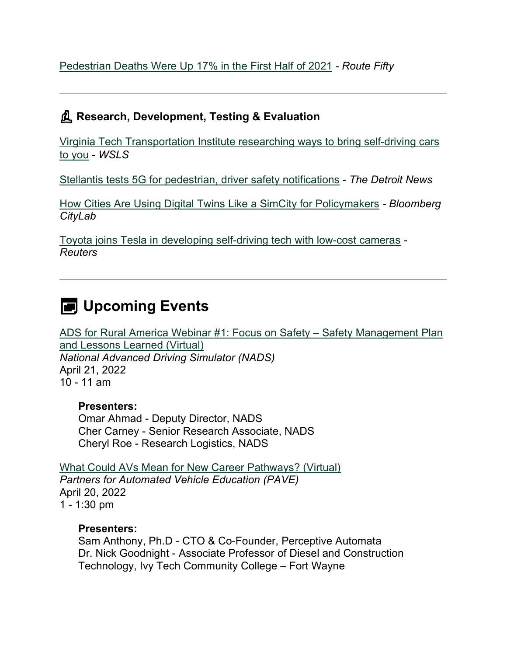[Pedestrian Deaths Were Up 17% in the First Half of 2021](https://www.route-fifty.com/infrastructure/2022/04/pedestrian-deaths-17-first-half-2021/364166/?utm_medium=email&utm_source=govdelivery) *- Route Fifty*

## **Research, Development, Testing & Evaluation**

[Virginia Tech Transportation Institute researching ways to bring self-driving cars](https://www.wsls.com/news/local/2022/03/31/virginia-tech-transportation-institute-researching-ways-to-bring-self-driving-cars-to-you/?utm_medium=email&utm_source=govdelivery)  [to you](https://www.wsls.com/news/local/2022/03/31/virginia-tech-transportation-institute-researching-ways-to-bring-self-driving-cars-to-you/?utm_medium=email&utm_source=govdelivery) - *WSLS*

[Stellantis tests 5G for pedestrian, driver safety notifications](https://www.detroitnews.com/story/business/autos/chrysler/2022/04/04/stellantis-tests-5-g-pedestrian-driver-safety-notifications/7268627001/?utm_medium=email&utm_source=govdelivery) - *The Detroit News*

[How Cities Are Using Digital Twins Like a SimCity for Policymakers](https://www.bloomberg.com/news/features/2022-04-05/digital-twins-mark-cities-first-foray-into-the-metaverse?utm_medium=email&utm_source=govdelivery) *- Bloomberg CityLab*

[Toyota joins Tesla in developing self-driving tech with low-cost cameras](https://www.reuters.com/article/toyota-wovenplanet/toyota-joins-tesla-in-developing-self-driving-tech-with-low-cost-cameras-idUSL3N2W000J?utm_medium=email&utm_source=govdelivery) *- Reuters*

# **E** Upcoming Events

[ADS for Rural America Webinar #1: Focus on Safety – Safety Management Plan](https://uiowa.zoom.us/webinar/register/WN_nBZKVUh6R6K3leouGrLVCg?utm_medium=email&utm_source=govdelivery)  [and Lessons Learned \(Virtual\)](https://uiowa.zoom.us/webinar/register/WN_nBZKVUh6R6K3leouGrLVCg?utm_medium=email&utm_source=govdelivery) *National Advanced Driving Simulator (NADS)* April 21, 2022 10 - 11 am

### **Presenters:**

Omar Ahmad - Deputy Director, NADS Cher Carney - Senior Research Associate, NADS Cheryl Roe - Research Logistics, NADS

[What Could AVs Mean for New Career Pathways? \(Virtual\)](https://pavecampaign.org/event/pave-virtual-panel-new-career-pathways/?utm_medium=email&utm_source=govdelivery) *Partners for Automated Vehicle Education (PAVE)* April 20, 2022 1 - 1:30 pm

#### **Presenters:**

Sam Anthony, Ph.D - CTO & Co-Founder, Perceptive Automata Dr. Nick Goodnight - Associate Professor of Diesel and Construction Technology, Ivy Tech Community College – Fort Wayne